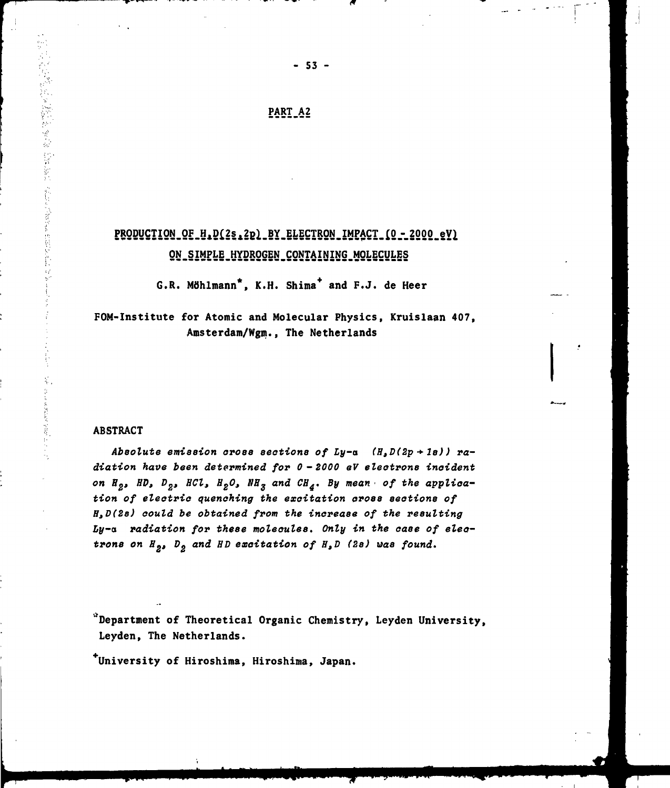## **PART A2**

## PRODUCTION OF H.D(2s.2p) BY ELECTRON IMPACT (0 - 2000 eV) **QN-SiMPLE.HYDROGEN^CONTAIhJING.MQLECyLES**

**G.R. Möhlmann\*, K.H. Shima\* and F.J. de Heer**

**FOM-Institute for Atomic and Molecular Physics, Kruislaan 407, Amsterdam/Wgm., The Netherlands**

#### **ABSTRACT**

医阿斯特氏病 医阿尔德氏病 医阿尔德氏试验检尿道

Absolute emission cross sections of Ly-a  $(H, D(2p + 1s))$  ra**diation have been determined for 0-2000 eV electrons incident** on  $H_2$ , HD,  $D_2$ , HCl,  $H_2O$ , NH<sub>3</sub> and CH<sub>4</sub>. By mean of the applica**tion of electric quenching the excitation cross sections of H,D(2s) could be obtained from the increase of the resulting** Ly-a radiation for these molecules. Only in the case of elec**trons on H ana" of H,D (2s) was found.**

**Department of Theoretical Organic Chemistry, Leyden University, Leyden, The Netherlands.**

**""University of Hiroshima, Hiroshima, Japan.**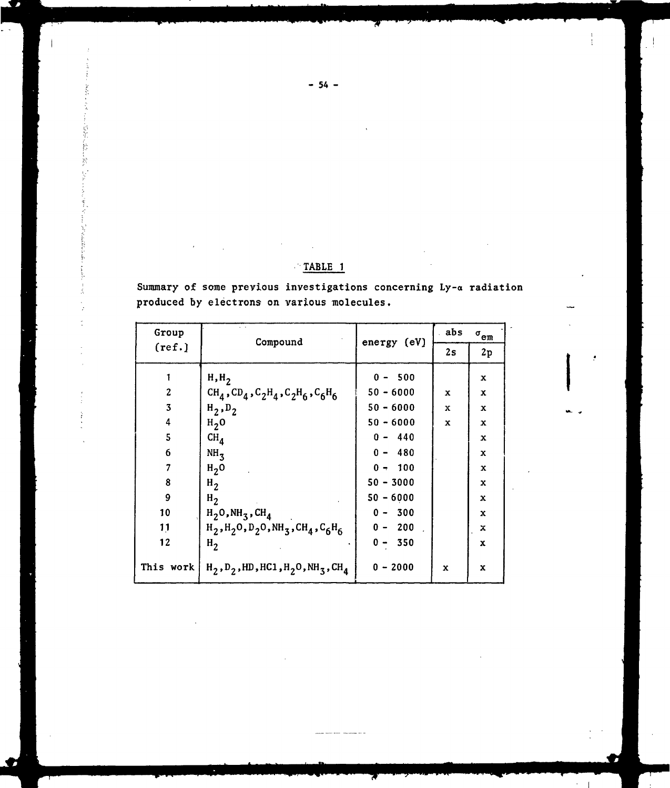| Group                   | Compound                                                                                             | energy (eV) | . abs       | $\sigma_{\rm{em}}$ |  |
|-------------------------|------------------------------------------------------------------------------------------------------|-------------|-------------|--------------------|--|
| (ref.)                  |                                                                                                      |             | 2s          | $2\,\mathrm{p}$    |  |
|                         | H, H <sub>2</sub>                                                                                    | $0 - 500$   |             | x                  |  |
| $\boldsymbol{2}$        | $CH_4$ , $CD_4$ , $C_2H_4$ , $C_2H_6$ , $C_6H_6$                                                     | $50 - 6000$ | x           | x                  |  |
| $\overline{\mathbf{3}}$ | $H_2, D_2$                                                                                           | $50 - 6000$ | x           | $\mathbf x$        |  |
| 4                       | H <sub>2</sub> 0                                                                                     | $50 - 6000$ | x           | x                  |  |
| 5                       | CH <sub>4</sub>                                                                                      | $0 - 440$   |             | x                  |  |
| 6                       | NH <sub>3</sub>                                                                                      | $0 - 480$   |             | $\mathbf x$        |  |
| 7                       | $H2$ O                                                                                               | $0 - 100$   |             | X                  |  |
| 8                       | $H_2$                                                                                                | $50 - 3000$ |             | X                  |  |
| 9                       | $H_2$                                                                                                | $50 - 6000$ |             | x                  |  |
| 10                      | $H_2O$ , NH <sub>3</sub> , CH <sub>4</sub>                                                           | $0 - 300$   |             | x                  |  |
| 11                      | $H_2$ , $H_2$ 0, D <sub>2</sub> 0, NH <sub>3</sub> , CH <sub>4</sub> , C <sub>6</sub> H <sub>6</sub> | $0 - 200$   |             | x                  |  |
| 12                      | H <sub>2</sub>                                                                                       | $0 - 350$   |             | x                  |  |
| This work               | $H_2, D_2$ , HD, HC1, $H_2O$ , NH <sub>3</sub> , CH <sub>4</sub>                                     | $0 - 2000$  | $\mathbf x$ | x                  |  |

Summary of some previous investigations concerning Ly-a radiation produced by electrons on various molecules.

TABLE 1

 $-54 -$ 

i, ĥ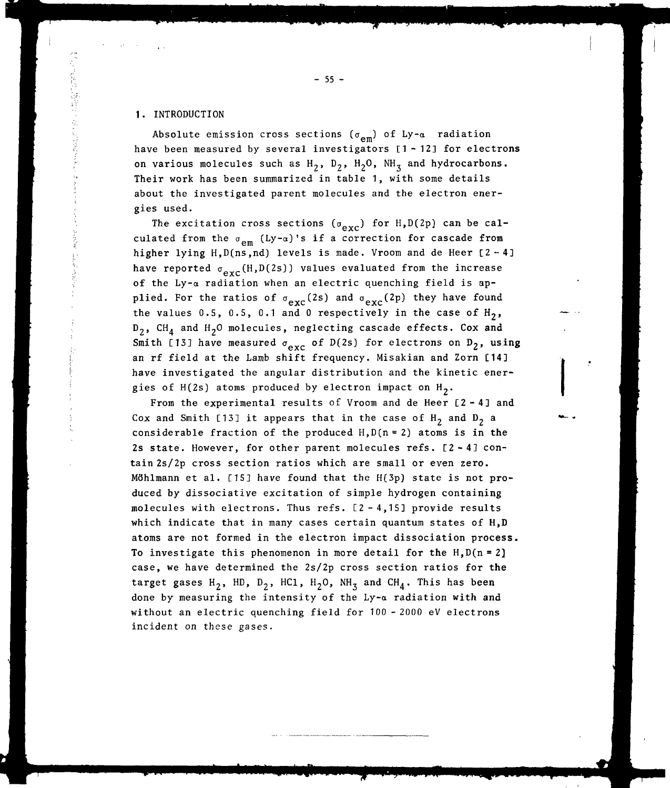#### 1. INTRODUCTION

Absolute emission cross sections ( $\sigma_{\mathsf{em}}$ ) of Ly- $\alpha$  radiation have been measured by several investigators [1-12] for electrons on various molecules such as  $H_2$ ,  $D_2$ ,  $H_2O$ ,  $NH_3$  and hydrocarbons. Their work has been summarized in table 1, with some details about the investigated parent molecules and the electron energies used.

The excitation cross sections ( $\sigma_{\text{exc}}$ ) for H,D(2p) can be calculated from the  $\sigma_{em}$  (Ly- $\alpha$ )'s if a correction for cascade from higher lying  $H, D(ns, nd)$  levels is made. Vroom and de Heer  $[2-4]$ have reported  $\sigma_{\text{exc}}(H,D(2s))$  values evaluated from the increase of the Ly-a radiation when an electric quenching field is applied. For the ratios of  $\sigma_{\text{exc}}(2s)$  and  $\sigma_{\text{exc}}(2p)$  they have found the values 0.5, 0.5, 0.1 and 0 respectively in the case of  $H_2$ ,  $D_2$ , CH<sub>A</sub> and H<sub>2</sub>O molecules, neglecting cascade effects. Cox and Smith [13] have measured  $\sigma_{\text{exc}}$  of D(2s) for electrons on D<sub>2</sub>, using an rf field at the Lamb shift frequency. Misakian and Zorn [14] have investigated the angular distribution and the kinetic energies of  $H(2s)$  atoms produced by electron impact on  $H_2$ .

 $\sigma$  at the H(2s) atoms produced by electron impact on H2  $\sigma$ From the experimental results of Vroom and de Heer [2-4] and Cox and Smith [13] it appears that in the case of  $H_2$  and  $D_2$  a considerable fraction of the produced  $H, D(n=2)$  atoms is in the 2s state. However, for other parent molecules refs. [2-43 contain 2s/2p cross section ratios which are small or even zero. Möhlmann et al. [15] have found that the H(3p) state is not produced by dissociative excitation of simple hydrogen containing molecules with electrons. Thus refs. [2-4,15] provide results which indicate that in many cases certain quantum states of H,D atoms are not formed in the electron impact dissociation process. To investigate this phenomenon in more detail for the  $H.D(n = 2)$ case, we have determined the 2s/2p cross section ratios for **the** target gases H<sub>2</sub>, HD, D<sub>2</sub>, HC1, H<sub>2</sub>O, NH<sub>3</sub> and CH<sub>4</sub>. This has been done by measuring the intensity of the Ly-a radiation with **and** without an electric quenching field for 100 -2000 eV electrons incident on these gases.

 $-55 -$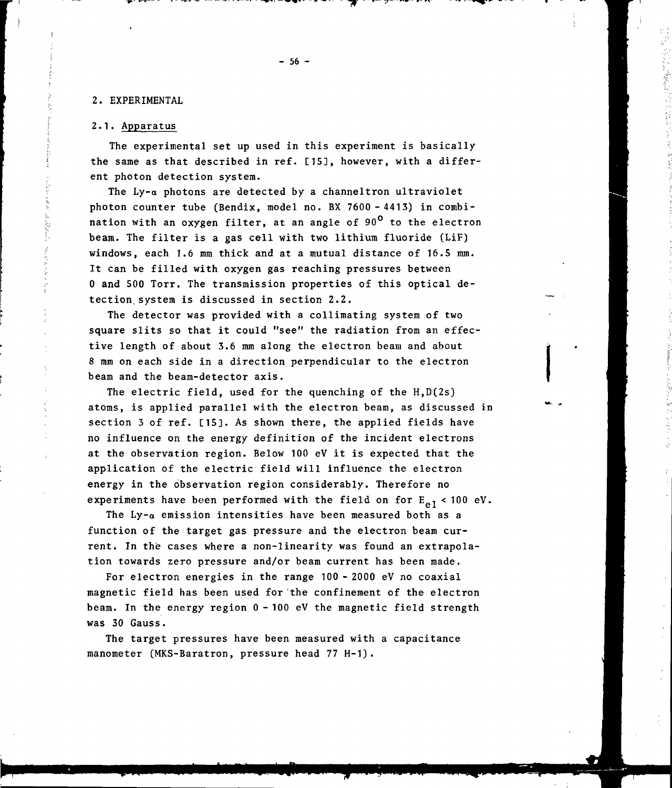## 2. EXPERIMENTAL

## 2.1. Apparatus

The experimental set up used in this experiment is basically the same as that described in ref. [15], however, with a different photon detection system.

The  $Ly-\alpha$  photons are detected by a channeltron ultraviolet photon counter tube (Bendix, model no. BX 7600-4413) in combination with an oxygen filter, at an angle of  $90^{\circ}$  to the electron beam. The filter is a gas cell with two lithium fluoride (LiF) windows, each 1.6 mm thick and at a mutual distance of 16.5 mm. It can be filled with oxygen gas reaching pressures between 0 and 500 Torr. The transmission properties of this optical detection, system is discussed in section 2.2.

The detector was provided with a collimating system of two square slits so that it could "see" the radiation from an effective length of about 3.6 mm along the electron beam and about 8 mm on each side in a direction perpendicular to the electron beam and the beam-detector axis.

The electric field, used for the quenching of the  $H, D(2s)$ atoms, is applied parallel with the electron beam, as discussed in section 3 of ref. [15]. As shown there, the applied fields have no influence on the energy definition of the incident electrons at the observation region. Below 100 eV it is expected that the application of the electric field will influence the electron energy in the observation region considerably. Therefore no experiments have been performed with the field on for  $E_{e,1}$  < 100 eV.

The Ly- $\alpha$  emission intensities have been measured both as a function of the target gas pressure and the electron beam current. In the cases where a non-linearity was found an extrapolation towards zero pressure and/or beam current has been made.

For electron energies in the range 100 - 2000 eV no coaxial magnetic field has been used for the confinement of the electron beam. In the energy region 0 - 100 eV the magnetic field strength was 30 Gauss.

The target pressures have been measured with a capacitance manometer (MKS-Baratron, pressure head 77 H-1).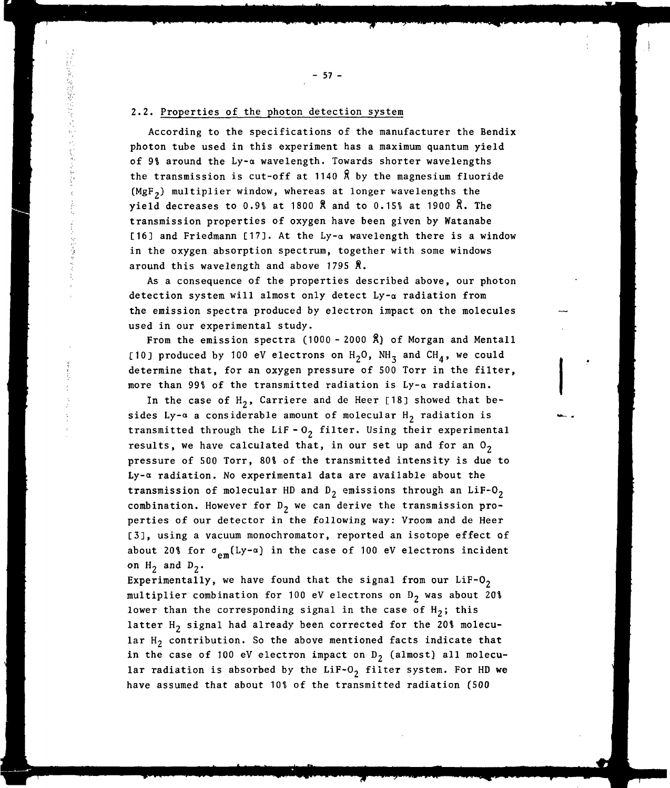## 2.2. Properties of the photon detection system

According to the specifications of the manufacturer the Bendix photon tube used in this experiment has a maximum quantum yield of 9% around the Ly-a wavelength. Towards shorter wavelengths the transmission is cut-off at 1140  $\beta$  by the magnesium fluoride (MgF,) multiplier window, whereas at longer wavelengths the yield decreases to 0.9% at 1800 Å and to 0.15% at 1900 Å. The transmission properties of oxygen have been given by Watanabe [16] and Friedmann [17]. At the  $Ly-\alpha$  wavelength there is a window in the oxygen absorption spectrum, together with some windows around this wavelength and above 1795 Ä.

As a consequence of the properties described above, our photon detection system will almost only detect Ly-a radiation from the emission spectra produced by electron impact on the molecules used in our experimental study.

From the emission spectra (1000 - 2000 Å) of Morgan and Mentall [10] produced by 100 eV electrons on  $H_2O$ , NH<sub>3</sub> and CH<sub>A</sub>, we could determine that, for an oxygen pressure of 500 Torr in the filter, more than 99% of the transmitted radiation is  $Ly - \alpha$  radiation.

In the case of  $H_2$ , Carriere and de Heer [18] showed that besides Ly- $\alpha$  a considerable amount of molecular H<sub>2</sub> radiation is transmitted through the LiF- $0<sub>2</sub>$  filter. Using their experimental results, we have calculated that, in our set up and for an  $0<sub>2</sub>$ pressure of 500 Torr, 80% of the transmitted intensity is due to Ly-a radiation. No experimental data are available about the transmission of molecular HD and  $D_2$  emissions through an LiF-O<sub>2</sub> combination. However for  $D_2$  we can derive the transmission properties of our detector in the following way: Vroom and de Heer [3], using a vacuum monochromator, reported an isotope effect of about 20% for  $\sigma_{\text{em}}(Ly-\alpha)$  in the case of 100 eV electrons incident on  $H_2$  and  $D_2$ .

Experimentally, we have found that the signal from our  $Lif-O<sub>2</sub>$ multiplier combination for 100 eV electrons on  $D_2$  was about 20\$ lower than the corresponding signal in the case of  $H_2$ ; this latter  $H_2$  signal had already been corrected for the 20% molecular  $H_2$  contribution. So the above mentioned facts indicate that in the case of 100 eV electron impact on  $D_2$  (almost) all molecular radiation is absorbed by the LiF-O<sub>2</sub> filter system. For HD we have assumed that about 10\$ of the transmitted radiation (500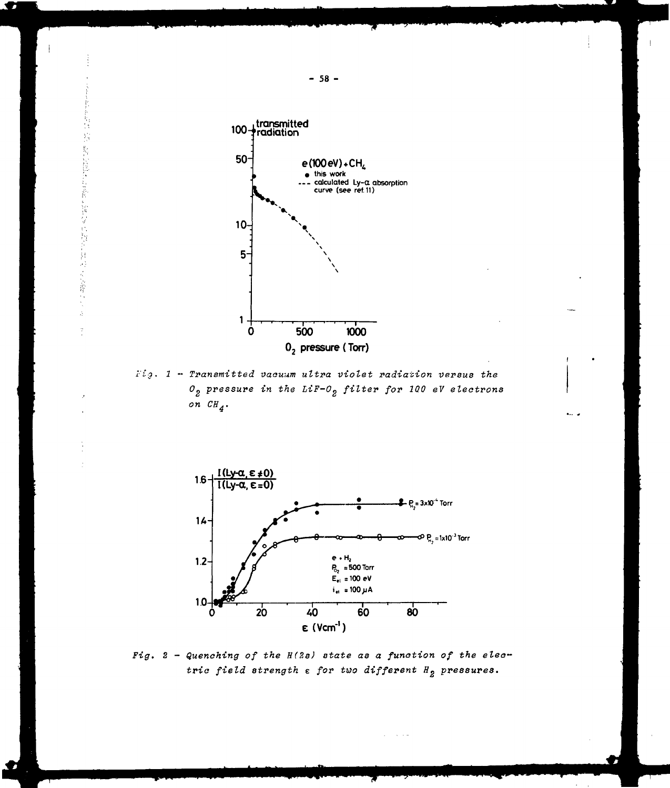

 $Fig.$  1 - Transmitted vacuum ultra violet radiation versus the  $O_2$  pressure in the LiF- $O_2$  filter for 100 eV electrons on  $CH_4$ .



Fig.  $2$  - Quenching of the  $H(2s)$  state as a function of the electric field strength  $\varepsilon$  for two different  $H_2$  pressures.

 $\sim 100$   $\sim 10$ 

 $-58 -$ 

. .

h.<br>Ch

 $\frac{1}{\sqrt{2}}$ 

ă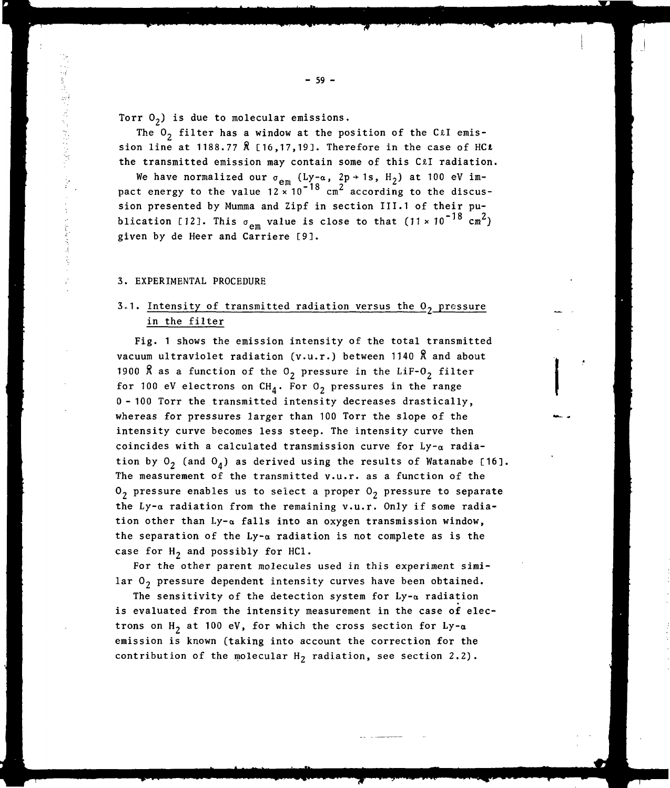Torr  $O_2$ ) is due to molecular emissions.

The  $0<sub>2</sub>$  filter has a window at the position of the C $\ell I$  emission line at 1188.77 Å [16,17,19]. Therefore in the case of HCt the transmitted emission may contain some of this C£l radiation.

We have normalized our  $\sigma_{_{\mathbf{\rho}\mathfrak{m}}}$  (Ly-a, 2p +1s, H<sub>2</sub>) at 100 eV im- $-18$   $cm^2$ sion presented by Mumma and Zipf in section III.1 of their publication [12]. This  $\sigma_{\text{am}}$  value is close to that (11 x 10<sup>-18</sup> cm<sup>2</sup>) given by de Heer and Carrière [9].

#### 3. EXPERIMENTAL PROCEDURE

どうきょう きょう てんこうきょく

## 3.1. Intensity of transmitted radiation versus the  $0<sub>2</sub>$  pressure in the filter

Fig. 1 shows the emission intensity of the total transmitted vacuum ultraviolet radiation (v.u.r.) between 1140 Ä and about 1900 Å as a function of the  $0<sub>2</sub>$  pressure in the LiF- $0<sub>2</sub>$  filter for 100 eV electrons on  $CH_4$ . For  $0^2$  pressures in the range 0 - 100 Torr the transmitted intensity decreases drastically, whereas for pressures larger than 100 Torr the slope of the intensity curve becomes less steep. The intensity curve then coincides with a calculated transmission curve for  $Ly-\alpha$  radiation by  $O_2$  (and  $O_4$ ) as derived using the results of Watanabe [16]. The measurement of the transmitted v.u.r. as a function of the  $0<sub>2</sub>$  pressure enables us to select a proper  $0<sub>2</sub>$  pressure to separate the Ly-a radiation from the remaining v.u.r. Only if some radiation other than  $Ly-\alpha$  falls into an oxygen transmission window, the separation of the  $Ly-a$  radiation is not complete as is the case for  $H_2$  and possibly for HC1.

For the other parent molecules used in this experiment similar  $0<sub>2</sub>$  pressure dependent intensity curves have been obtained.

The sensitivity of the detection system for  $Ly_{\alpha}$  radiation is evaluated from the intensity measurement in the case of electrons on  $H_2$  at 100 eV, for which the cross section for Ly- $\alpha$ emission is known (taking into account the correction for the contribution of the molecular  $H_2$  radiation, see section 2.2).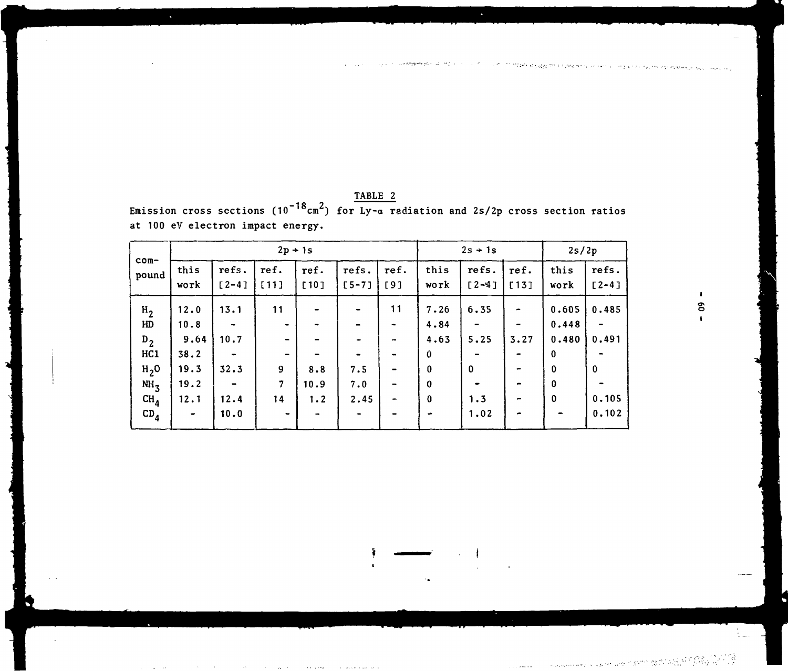|                                                                                                 |                                                                   |                                                                                                                    | $2p + 1s$                                                                                                           |                    |                    | $2s + 1s$                                                       |                                                                            | 2s/2p                                                                      |                       |                                                                        |                                                 |
|-------------------------------------------------------------------------------------------------|-------------------------------------------------------------------|--------------------------------------------------------------------------------------------------------------------|---------------------------------------------------------------------------------------------------------------------|--------------------|--------------------|-----------------------------------------------------------------|----------------------------------------------------------------------------|----------------------------------------------------------------------------|-----------------------|------------------------------------------------------------------------|-------------------------------------------------|
| com-<br>pound                                                                                   | this<br>work                                                      | refs.<br>$[2 - 4]$                                                                                                 | ref.<br>[11]                                                                                                        | ref.<br>[10]       | refs.<br>$[5 - 7]$ | ref.<br>[9]                                                     | this<br>work                                                               | refs.<br>$[2 - 4]$                                                         | ref.<br>[13]          | this<br>work                                                           | refs.<br>$[2 - 4]$                              |
| $H_2$<br>HD<br>$D_2$<br>HC1<br>H <sub>2</sub> 0<br>NH <sub>3</sub><br>CH <sub>4</sub><br>$CD_4$ | 12.0<br>10.8<br>9.64<br>38.2<br>19.3<br>19.2<br>12.1<br>$\bullet$ | 13.1<br>$\overline{\phantom{a}}$<br>10.7<br>$\qquad \qquad \blacksquare$<br>32.3<br>$\blacksquare$<br>12.4<br>10.0 | 11<br>$\bullet$<br>$\hbox{\small -}$<br>$\blacksquare$<br>9<br>$\overline{7}$<br>14<br>$\qquad \qquad \blacksquare$ | 8.8<br>10.9<br>1.2 | 7.5<br>7.0<br>2.45 | 11<br>$\overline{\phantom{a}}$<br>$\overline{\phantom{a}}$<br>- | 7.26<br>4.84<br>4.63<br>0<br>$\bf{0}$<br>$\bf{0}$<br>$\bf{0}$<br>$\bullet$ | 6.35<br>$\qquad \qquad \blacksquare$<br>5.25<br>$\mathbf 0$<br>1.3<br>1.02 | $\rightarrow$<br>3.27 | 0.605<br>0.448<br>0.480<br>$\bf{0}$<br>$\mathbf 0$<br>0<br>$\mathbf 0$ | 0.485<br>0.491<br>$\mathbf 0$<br>0.105<br>0.102 |

ŧ  $\blacksquare$ 

 $\langle \rangle$ 

 $\mathcal{L}(\mathcal{L}^{\text{max}}_{\mathcal{L}})$  and  $\mathcal{L}^{\text{max}}_{\mathcal{L}}$  and  $\mathcal{L}^{\text{max}}_{\mathcal{L}}$ 

÷.

|                                                                                                                | TABLE 2 |  |  |  |
|----------------------------------------------------------------------------------------------------------------|---------|--|--|--|
| Emission cross sections (10 <sup>-18</sup> cm <sup>2</sup> ) for Ly-a radiation and 2s/2p cross section ratios |         |  |  |  |
| at 100 eV electron impact energy.                                                                              |         |  |  |  |

in a la compartir e estimata de 1913 e 1913 e 1913 de 1913 e 1914 e 1914 e 1913 e 1914 e 1914 e 1914 e 1915 e 1<br>Segundo de 1919 e 1919 e 1919 e 1919 e 1919 e 1919 e 1919 e 1919 e 1920 e 1920 e 1920 e 1920 e 1920 e 1920 e 1

 $\frac{1}{2}$ 

 $\mathcal{A}^{\mathcal{A}}$  , and the contract of the contract of the set of the contract of the contract of the contract of the contract of the contract of the contract of the contract of the contract of the contract of the contract  $\mathbf{q} = \mathbf{q} \times \mathbf{q}$  , where  $\mathbf{q} = \mathbf{q} \times \mathbf{q}$ 

 $\mathcal{L}^{\text{max}}_{\text{max}}$  , where  $\mathcal{L}^{\text{max}}_{\text{max}}$ 

I 8 I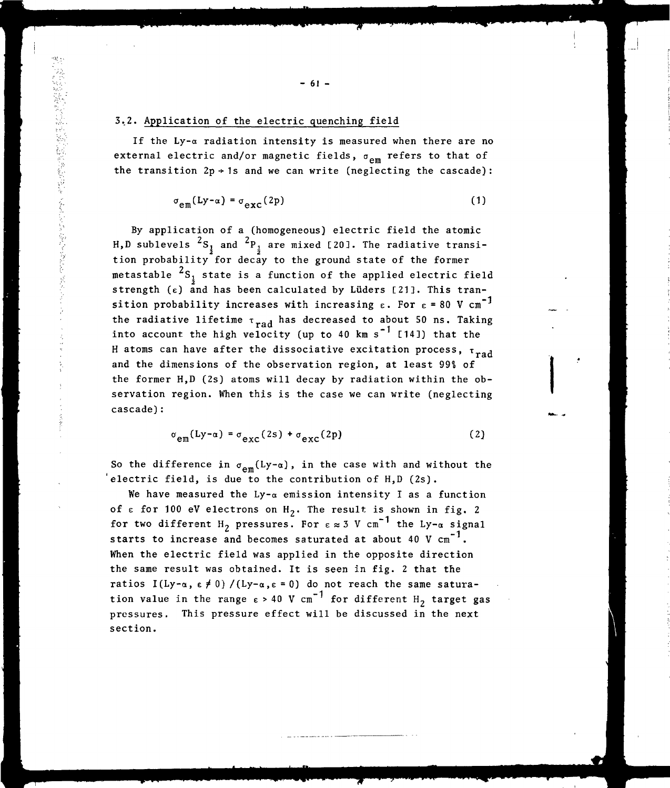## 3.2. Application of the electric quenching field

If the Ly- $\alpha$  radiation intensity is measured when there are no external electric and/or magnetic fields,  $\sigma_{em}$  refers to that of the transition  $2p \div 1s$  and we can write (neglecting the cascade):

$$
\sigma_{em}(Ly-\alpha) = \sigma_{exc}(2p) \tag{1}
$$

By application of a (homogeneous) electric field the atomic H,D sublevels  ${}^{2}S_{\frac{1}{2}}$  and  ${}^{2}P_{\frac{1}{2}}$  are mixed [20]. The radiative transition probability for decay to the ground state of the former metastable  ${}^{2}S_{1}$  state is a function of the applied electric field strength ( $\varepsilon$ ) and has been calculated by Lüders [21]. This transition probability increases with increasing  $\varepsilon$ . For  $\varepsilon = 80$  V cm<sup>-1</sup>  $s$ ition probability increases with increasing e. For  $e = 80$  V cm  $\frac{1}{\text{rad}}$  has decreased to about 50 ns. Taking into account the high velocity (up to 40 km s~ [14]) that the  $\mu$  atoms can have after the dissociative excitation process,  $\mu$   $\eta$ and the dimensions of the observation region, at least 99\$ of the former H,D (2s) atoms will decay by radiation within the observation region. When this is the case we can write (neglecting cascade):

$$
\sigma_{em}(Ly-\alpha) = \sigma_{exc}(2s) + \sigma_{exc}(2p)
$$
 (2)

So the difference in  $\sigma_{em}(Ly-\alpha)$ , in the case with and without the 'electric field, is due to the contribution of H,D (2s).

We have measured the Ly- $\alpha$  emission intensity I as a function of  $\epsilon$  for 100 eV electrons on  $H_2$ . The result is shown in fig. 2 for two different H<sub>2</sub> pressures. For  $\varepsilon \approx 3$  V cm<sup>-1</sup> the Ly- $\alpha$  signal starts to increase and becomes saturated at about 40 V  $cm^{-1}$ . When the electric field was applied in the opposite direction the same result was obtained. It is seen in fig. 2 that the ratios I(Ly- $\alpha$ ,  $\varepsilon \neq 0$ ) /(Ly- $\alpha$ ,  $\varepsilon = 0$ ) do not reach the same saturation value in the range  $\epsilon > 40$  V cm<sup>-1</sup> for different H<sub>2</sub> target gas pressures. This pressure effect will be discussed in the next section.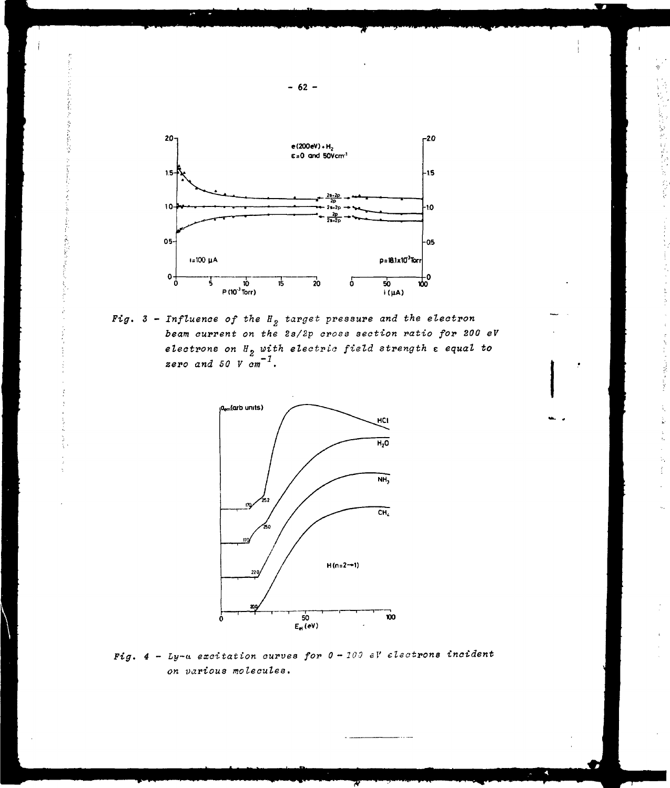

Fig.  $3$  - Influence of the  $H_2$  target pressure and the electron beam current on the 2s/2p cross section ratio for 200 eV electrons on  $H_2$  with electric field strength  $\varepsilon$  equal to zero and 50 V cm<sup>-1</sup>.



Fig.  $4$  - Ly-a excitation curves for  $0 - 100$  eV electrons incident on various molecules.

 $-62 -$ 

经经缺款 电影

i<br>S

ł.

 $\frac{1}{2}$ 

Ş

Ş

ŝ

ÿ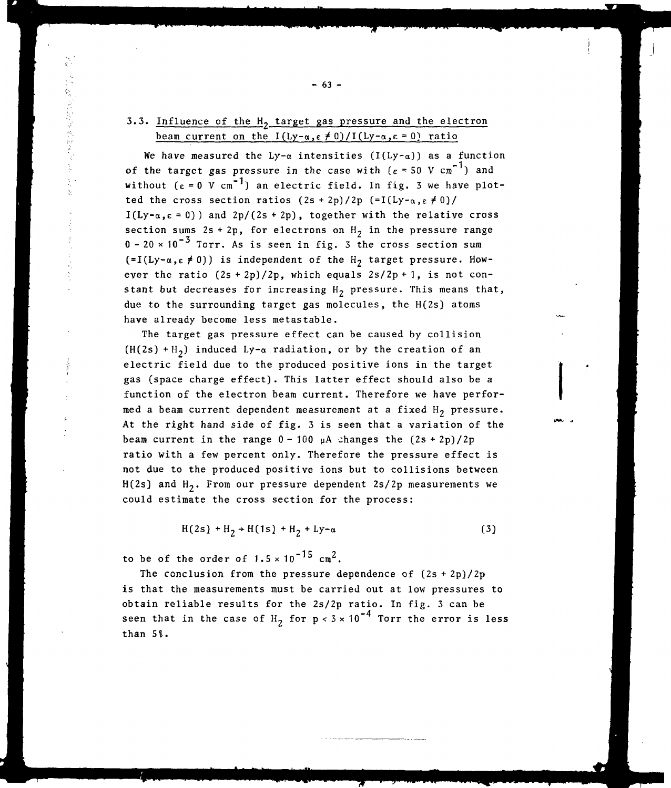## 3.3. Influence of the  $H_2$  target gas pressure and the electron beam current on the  $I(Ly-\alpha,\epsilon \neq 0)/I(Ly-\alpha,\epsilon = 0)$  ratio

医心室的医尿病 医前庭

We have measured the Ly- $\alpha$  intensities (I(Ly- $\alpha$ )) as a function of the target gas pressure in the case with  $(\epsilon = 50 \text{ V cm}^{-1})$  and without  $(\epsilon = 0 \text{ V cm}^{-1})$  an electric field. In fig. 3 we have plotted the cross section ratios  $(2s + 2p)/2p$   $(=I(Ly-a, \varepsilon \neq 0)/2p$  $I(Ly-a,\epsilon=0)$  and  $2p/(2s+2p)$ , together with the relative cross section sums  $2s + 2p$ , for electrons on  $H<sub>2</sub>$  in the pressure range  $0 - 20 \times 10^{-3}$  Torr. As is seen in fig. 3 the cross section sum  $(=I(Ly-\alpha,\varepsilon\neq 0))$  is independent of the H<sub>2</sub> target pressure. However the ratio  $(2s + 2p)/2p$ , which equals  $2s/2p + 1$ , is not constant but decreases for increasing  $H_2$  pressure. This means that, due to the surrounding target gas molecules, the H(2s) atoms have already become less metastable.

The target gas pressure effect can be caused by collision  $(H(2s) + H_2)$  induced Ly- $\alpha$  radiation, or by the creation of an electric field due to the produced positive ions in the target gas (space charge effect). This latter effect should also be a function of the electron beam current. Therefore we have performed a beam current dependent measurement at a fixed  $H_2$  pressure. At the right hand side of fig. 3 is seen that a variation of the beam current in the range  $0 - 100$   $\mu$ A changes the  $(2s + 2p)/2p$ ratio with a few percent only. Therefore the pressure effect is not due to the produced positive ions but to collisions between  $H(2s)$  and  $H_2$ . From our pressure dependent 2s/2p measurements we could estimate the cross section for the process:

 $H(2s) + H_2 + H(1s) + H_2 + Ly-\alpha$  (3)

to be of the order of  $1.5 \times 10^{-15}$  cm<sup>2</sup>.

The conclusion from the pressure dependence of  $(2s + 2p)/2p$ is that the measurements must be carried out at low pressures to obtain reliable results for the 2s/2p ratio. In fig. 3 can be seen that in the case of H<sub>2</sub> for  $p < 3 \times 10^{-4}$  Torr the error is less than 5%.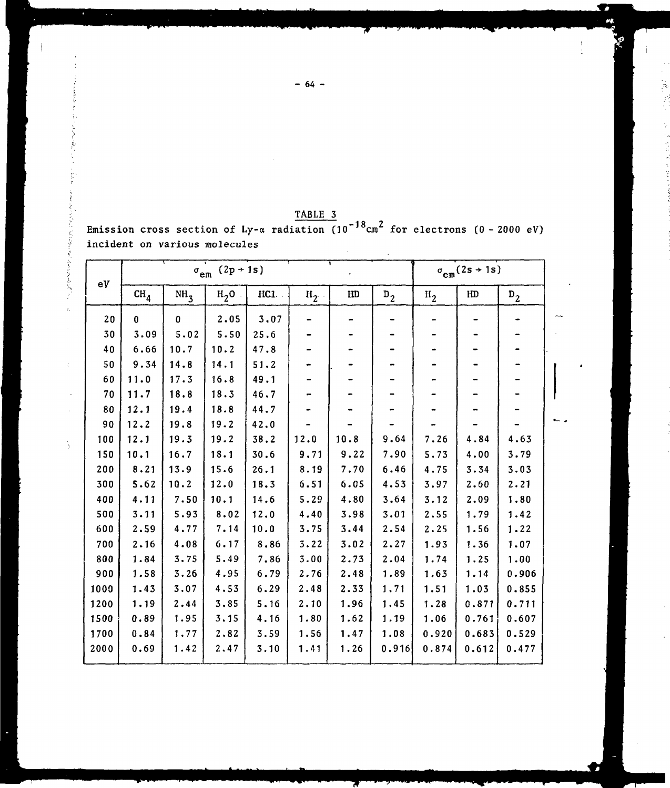|      | $\sigma_{\text{em}}$ (2p + 1s)<br>$\sigma_{\rm em}(2s+1s)$ |                 |          |      |         |      |       |                |       |       |
|------|------------------------------------------------------------|-----------------|----------|------|---------|------|-------|----------------|-------|-------|
| eV   | CH <sub>4</sub>                                            | NH <sub>3</sub> | $H_2O$ . | HC1  | $H_2$ . | HD   | $D_2$ | H <sub>2</sub> | HD    | $D_2$ |
| 20   | $\mathbf{0}$                                               | $\mathbf{0}$    | 2.05     | 3.07 |         |      |       |                |       |       |
| 30   | 3.09                                                       | 5.02            | 5.50     | 25.6 |         |      |       |                |       |       |
| 40   | 6.66                                                       | 10.7            | 10.2     | 47.8 |         |      |       |                |       |       |
| 50   | 9.34                                                       | 14.8            | 14.1     | 51.2 |         |      |       |                |       |       |
| 60   | 11.0                                                       | 17.3            | 16.8     | 49.1 |         |      |       |                |       |       |
| 70   | 11.7                                                       | 18.8            | 18.3     | 46.7 |         |      |       |                |       |       |
| 80   | 12.1                                                       | 19.4            | 18.8     | 44.7 |         |      |       |                |       |       |
| 90   | 12.2                                                       | 19.8            | 19.2     | 42.0 |         |      |       |                |       |       |
| 100  | 12.1                                                       | 19.3            | 19.2     | 38.2 | 12.0    | 10.8 | 9.64  | 7.26           | 4.84  | 4.63  |
| 150  | 10.1                                                       | 16.7            | 18.1     | 30.6 | 9.71    | 9.22 | 7.90  | 5.73           | 4.00  | 3.79  |
| 200  | 8.21                                                       | 13.9            | 15.6     | 26.1 | 8.19    | 7.70 | 6.46  | 4.75           | 3.34  | 3.03  |
| 300  | 5.62                                                       | 10.2            | 12.0     | 18.3 | 6.51    | 6.05 | 4.53  | 3.97           | 2.60  | 2.21  |
| 400  | 4.11                                                       | 7.50            | 10.1     | 14.6 | 5.29    | 4.80 | 3.64  | 3.12           | 2.09  | 1.80  |
| 500  | 3.11                                                       | 5.93            | 8.02     | 12.0 | 4.40    | 3.98 | 3.01  | 2.55           | 1.79  | 1.42  |
| 600  | 2.59                                                       | 4.77            | 7.14     | 10.0 | 3.75    | 3.44 | 2.54  | 2.25           | 1.56  | 1.22  |
| 700  | 2.16                                                       | 4.08            | 6.17     | 8.86 | 3.22    | 3.02 | 2.27  | 1.93           | 1.36  | 1.07  |
| 800  | 1.84                                                       | 3.75            | 5.49     | 7.86 | 3.00    | 2.73 | 2.04  | 1.74           | 1.25  | 1.00  |
| 900  | 1.58                                                       | 3.26            | 4.95     | 6.79 | 2.76    | 2.48 | 1.89  | 1.63           | 1.14  | 0.906 |
| 1000 | 1.43                                                       | 3.07            | 4.53     | 6.29 | 2.48    | 2.33 | 1.71  | 1.51           | 1.03  | 0.855 |
| 1200 | 1.19                                                       | 2.44            | 3.85     | 5.16 | 2.10    | 1.96 | 1.45  | 1.28           | 0.871 | 0.711 |
| 1500 | 0.89                                                       | 1.95            | 3.15     | 4.16 | 1.80    | 1.62 | 1.19  | 1.06           | 0.761 | 0.607 |
| 1700 | 0.84                                                       | 1.77            | 2,82     | 3.59 | 1.56    | 1.47 | 1.08  | 0.920          | 0.683 | 0.529 |
| 2000 | 0.69                                                       | 1.42            | 2.47     | 3.10 | 1.41    | 1.26 | 0.916 | 0.874          | 0.612 | 0.477 |

 $eV)$  $Emi$ :<br> $inc<sup>i</sup>$  $\ddot{\phantom{a}}$ 

|  |  | TABLE 3 |  |                                                                                       |  |
|--|--|---------|--|---------------------------------------------------------------------------------------|--|
|  |  |         |  | ssion cross section of Ly-a radiation $(10^{-18} \text{cm}^2$ for electrons (0 - 2000 |  |

 $-64-$ 

į  $\label{eq:1} \begin{aligned} \mathcal{P}^{(1)}(x) = \mathcal{P}^{(1)}(x) \end{aligned}$ 

「おおかないので、その他のことをしているので、その他のことは、その他のことは、その他のことは、その他のことは、その他には、その他には、その他には、その他には、その他には、その他には、その他には、その他

 $\frac{1}{2}$ 

 $\frac{1}{2}$ 

 $\overline{a}$ 

 $\frac{1}{2}$ 

B

 $\frac{1}{2}$ 

 $\ddot{\phantom{1}}$ 

Ď

ھ

- 1. 1番 増加

しんしゅうちょう きょうき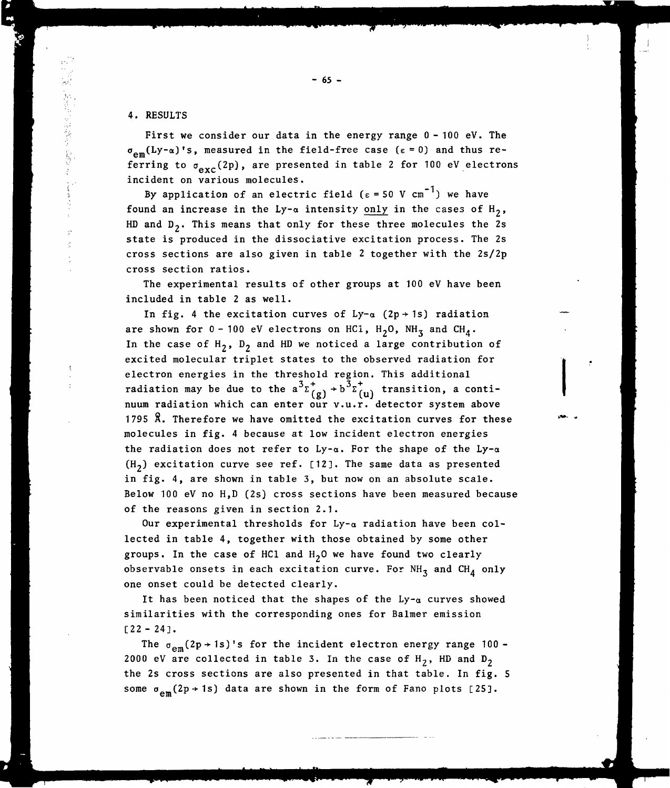## 4. RESULTS

First we consider our data in the energy range 0-100 eV. The  $\sigma_{\rm cm}(Ly-\alpha)$ 's, measured in the field-free case ( $\epsilon=0$ ) and thus referring to  $\sigma_{\text{exc}}(2p)$ , are presented in table 2 for 100 eV electrons incident on various molecules.

By application of an electric field ( $\varepsilon = 50$  V cm<sup>-1</sup>) we have found an increase in the Ly- $\alpha$  intensity only in the cases of H<sub>2</sub>, HD and  $D_2$ . This means that only for these three molecules the 2s state is produced in the dissociative excitation process. The 2s cross sections are also given in table 2 together with the 2s/2p cross section ratios.

The experimental results of other groups at 100 eV have been included in table 2 as well.

In fig. 4 the excitation curves of  $Ly-\alpha$  (2p + 1s) radiation are shown for  $0-100$  eV electrons on HC1,  $H_2O$ , NH<sub>3</sub> and CH<sub>A</sub>. In the case of  $H_2$ ,  $D_2$  and HD we noticed a large contribution of excited molecular triplet states to the observed radiation for electron energies in the threshold region. This additional radiation may be due to the  $a^3 \Sigma_{(g)}^+ \rightarrow b^3 \Sigma_{(u)}^+$  transition, a continuum radiation which can enter our v.u.r. detector system above 1795 8. Therefore we have omitted the excitation curves for these molecules in fig. 4 because at low incident electron energies the radiation does not refer to Ly- $\alpha$ . For the shape of the Ly- $\alpha$  $(H<sub>2</sub>)$  excitation curve see ref. [12]. The same data as presented in fig. 4, are shown in table 3, but now on an absolute scale. Below 100 eV no H,D (2s) cross sections have been measured because of the reasons given in section 2.1.

Our experimental thresholds for  $Ly-a$  radiation have been collected in table 4, together with those obtained by some other groups. In the case of HC1 and  $H_2O$  we have found two clearly observable onsets in each excitation curve. For  $NH_3$  and  $CH_4$  only one onset could be detected clearly.

It has been noticed that the shapes of the  $Ly-a$  curves showed similarities with the corresponding ones for Balmer emission [22 - 24].

The  $\sigma_{em}(2p \rightarrow 1s)$ 's for the incident electron energy range 100 -2000 eV are collected in table 3. In the case of  $H_2$ , HD and  $D_2$ the 2s cross sections are also presented in that table. In fig. 5 some  $\sigma_{em}(2p+1s)$  data are shown in the form of Fano plots [25].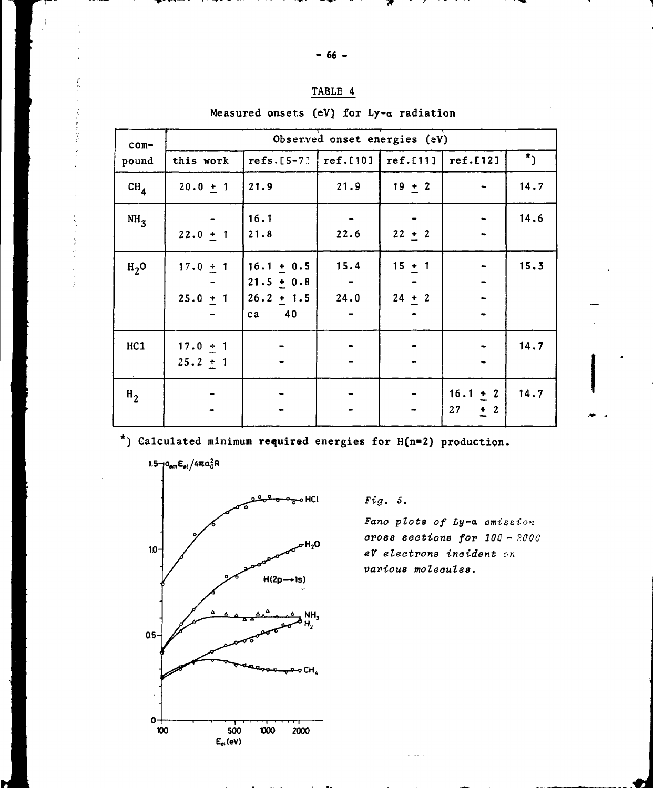|  |  | <b>TABLE</b> |  |
|--|--|--------------|--|
|  |  |              |  |

Measured onsets (eV) for Ly-a radiation

| com-            |                          |                                                          |              | Observed onset energies (eV) |                          |           |
|-----------------|--------------------------|----------------------------------------------------------|--------------|------------------------------|--------------------------|-----------|
| pound           | this work                | $refs.[5-7]$   $ref.[10]$   $ref.[11]$                   |              |                              | ref.[12]                 | $\star$ ) |
| CH <sub>4</sub> | $20.0 + 1$               | 21.9                                                     | 21.9         | $19 + 2$                     |                          | 14.7      |
| NH <sub>3</sub> | $22.0 + 1$               | 16.1<br>21.8                                             | 22.6         | $22 + 2$                     |                          | 14.6      |
| $H2$ O          | $17.0 + 1$<br>$25.0 + 1$ | $16.1 + 0.5$<br>$21.5 + 0.8$<br>$26.2 + 1.5$<br>40<br>ca | 15.4<br>24.0 | $15 + 1$<br>$24 + 2$         |                          | 15.3      |
| HC1             | $17.0 + 1$<br>$25.2 + 1$ |                                                          |              |                              |                          | 14.7      |
| $H_2$           |                          |                                                          |              |                              | $16.1 + 2$<br>27<br>$+2$ | 14.7      |

\*) Calculated minimum required energies for H(n=2) production.



 $\label{eq:1.1} \begin{array}{ccc} \mathcal{D} & \mathcal{D} & \mathcal{D} & \mathcal{D} \\ \mathcal{D} & \mathcal{D} & \mathcal{D} & \mathcal{D} \end{array}$ 

 $Fig. 5.$ 

Fano plots of Ly-a emission cross sections for 100 - 200G eV electrons incident on various molecules.

.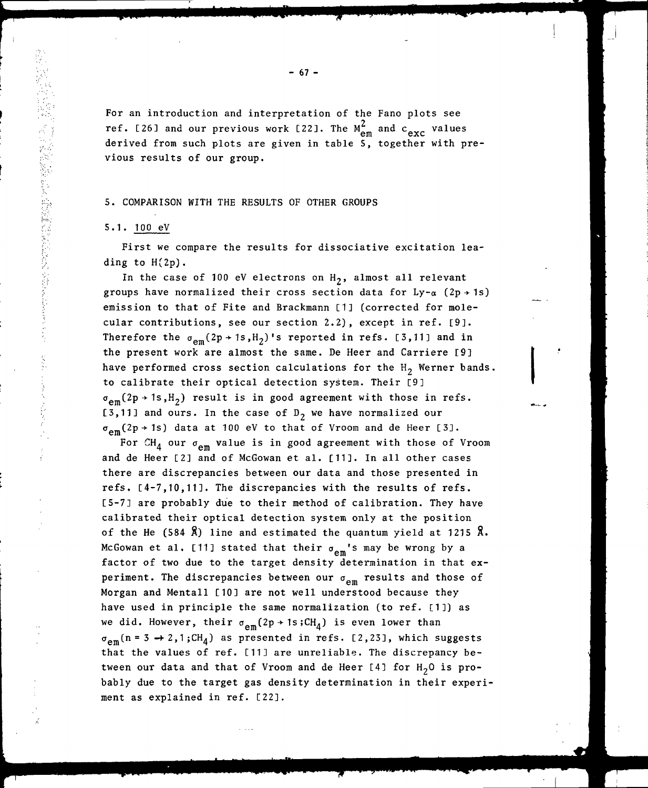For an introduction and interpretation of the Fano plots see ref. [26] and our previous work [22]. The  $M_{em}^2$  and  $c_{exc}$  values derived from such plots are given in table S, together with previous results of our group.

## 5. COMPARISON WITH THE RESULTS OF OTHER GROUPS

## 5.1. 100 eV

First we compare the results for dissociative excitation leading to H(2p).

In the case of 100 eV electrons on  $H_2$ , almost all relevant groups have normalized their cross section data for  $Ly-\alpha$  (2p + 1s) emission to that of Fite and Brackmann [1] (corrected for molecular contributions, see our section 2.2), except in ref. [9]. Therefore the  $\sigma_{\rm em}(2p \rightarrow 1s,H_2)$ 's reported in refs. [3,11] and in the present work are almost the same. De Heer and Carrière [9] have performed cross section calculations for the  $H_2$  Werner bands. to calibrate their optical detection system. Their [9]  $\sigma_{\rm em}(2p \rightarrow 1s,H_2)$  result is in good agreement with those in refs. [3,11] and ours. In the case of  $D_2$  we have normalized our  $e$ m $(2p + 1s)$  data at 100 eV to that of Vroom and de Heer [3].

For  $\mathtt{CH}_4$  our  $\sigma_{\mathsf{em}}$  value is in good agreement with those of Vroom and de Heer [2] and of McGowan et al. [11]. In all other cases there are discrepancies between our data and those presented in refs. [4-7,10,11]. The discrepancies with the results of refs. [5-7] are probably due to their method of calibration. They have calibrated their optical detection system only at the position of the He (584  $\hat{X}$ ) line and estimated the quantum yield at 1215  $\hat{X}$ . McGowan et al. [11] stated that their  $\sigma_{em}$ 's may be wrong by a factor of two due to the target density determination in that experiment. The discrepancies between our  $\sigma_{em}$  results and those of Morgan and Mentall [10] are not well understood because they have used in principle the same normalization (to ref. [1]) as we did. However, their  $\sigma_{em}(2p \rightarrow 1s;CH_4)$  is even lower than  $\sigma_{em}(n= 3 \rightarrow 2,1 ; CH_4)$  as presented in refs. [2,23], which suggests that the values of ref. [11] are unreliable. The discrepancy between our data and that of Vroom and de Heer [4] for  $H<sub>2</sub>0$  is probably due to the target gas density determination in their experiment as explained in ref. [22].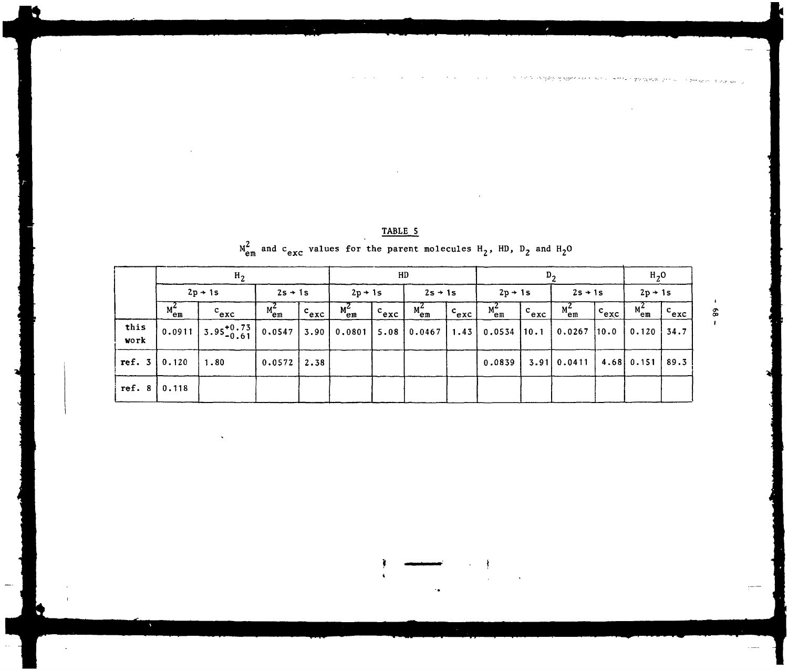|                  |            | H <sub>2</sub> |                 | HD        |            |                    |            | υ,                 |            |           |                                         | $H_2O$               |            |                                      |
|------------------|------------|----------------|-----------------|-----------|------------|--------------------|------------|--------------------|------------|-----------|-----------------------------------------|----------------------|------------|--------------------------------------|
|                  |            | $2p \div 1s$   | $2s + 1s$       |           | $2p + 1s$  |                    | $2s + 1s$  |                    | $2p + 1s$  |           | $2s + 1s$                               |                      | $2p + 1s$  |                                      |
|                  | $M_{em}^2$ | $c_{exc}$      | $M_{em}^2$      | $c_{exc}$ | $M_{em}^2$ | $ c_{\text{exc}} $ | $M_{em}^2$ | $c_{exc}$          | $M_{em}^2$ | $c_{exc}$ | $M_{em}^2$                              | $ c_{\mathrm{exc}} $ | $M_{em}^2$ | $^{\circ}$ $^{\circ}$ exc $^{\circ}$ |
| this<br>work     |            |                | 0.0547          | 3.90      | 0.0801     | 5.08               | 0.0467     | $\vert 1.43 \vert$ | 0.0534     | 10.1      | 0.0267                                  | [10.0]               | 0.120      | 34.7                                 |
| ref. $3   0.120$ |            | 1.80           | $0.0572$   2.38 |           |            |                    |            |                    | 0.0839     |           | $3.91 \mid 0.0411 \mid 4.68 \mid 0.151$ |                      |            | 89.3                                 |
| ref. $8$         | 0.118      |                |                 |           |            |                    |            |                    |            |           |                                         |                      |            |                                      |

TABLE 5

# $M_{em}^2$  and  $c_{exc}$  values for the parent molecules  $H_2$ , HD,  $D_2$  and  $H_2O$

 $\pmb{\ast}$  $\pmb{\mathfrak{s}}$  $\mathbf{r}$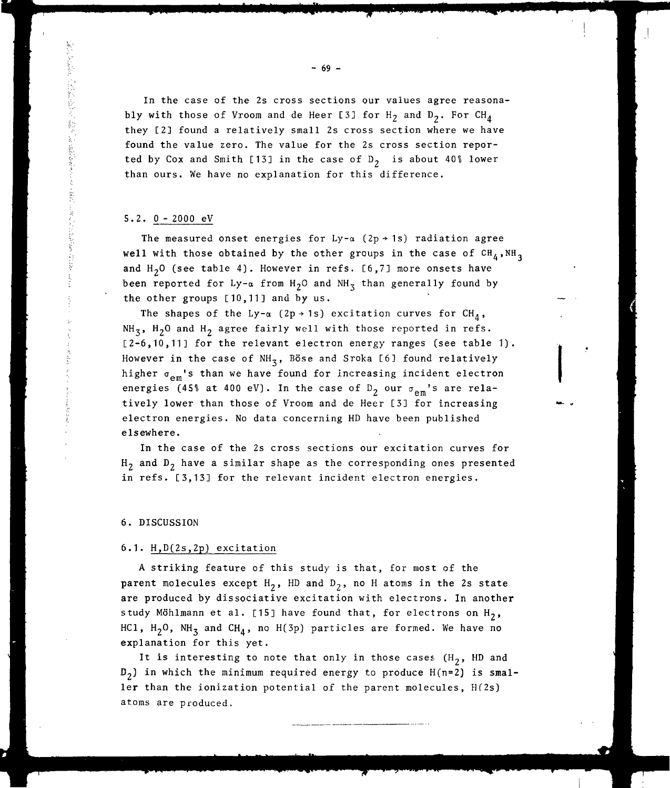In the case of the 2s cross sections our values agree reasonably with those of Vroom and de Heer [3] for  $H_2$  and  $D_2$ . For  $CH_4$ they C2] found a relatively small 2s cross section where we have found the value zero. The value for the 2s cross section reported by Cox and Smith [13] in the case of  $D_2$  is about 40% lower than ours. We have no explanation for this difference.

#### 5.2. O - 2000 eV

计算机 化二氯甲基甲基

The measured onset energies for Ly- $\alpha$  (2p + 1s) radiation agree well with those obtained by the other groups in the case of  $CH_4$ , NH<sub>3</sub> and  $H<sub>2</sub>0$  (see table 4). However in refs. [6,7] more onsets have been reported for Ly- $\alpha$  from H<sub>2</sub>O and NH<sub>3</sub> than generally found by the other groups [10,11] and by us.

The shapes of the Ly- $\alpha$  (2p + 1s) excitation curves for CH<sub>A</sub>, NH<sub>3</sub>, H<sub>2</sub>O and H<sub>2</sub> agree fairly well with those reported in refs. [2-6,10,11] for the relevant electron energy ranges (see table 1). However in the case of  $NH<sub>z</sub>$ , Böse and Sroka [6] found relatively higher  $\sigma_{em}$ 's than we have found for increasing incident electron energies (45% at 400 eV). In the case of  $D_2$  our  $\sigma_{em}$ 's are relatively lower than those of Vroom and de Heer [3] for increasing electron energies. No data concerning HD have been published elsewhere.

In the case of the 2s cross sections our excitation curves for  $H_2$  and  $D_2$  have a similar shape as the corresponding ones presented in refs. [3,13] for the relevant incident electron energies.

#### 6. DISCUSSION

## 6.1. H,D(2s,2p) excitation

A striking feature of this study is that, for most of the parent molecules except  $H_2$ , HD and  $D_2$ , no H atoms in the 2s state are produced by dissociative excitation with electrons. In another study Möhlmann et al. [15] have found that, for electrons on  $H_2$ , HC1,  $H_2O$ ,  $NH_3$  and CH<sub>4</sub>, no H(3p) particles are formed. We have no explanation for this yet.

It is interesting to note that only in those cases  $(H_2, H_2)$  and  $D_2$ ) in which the minimum required energy to produce  $H(n=2)$  is smaller than the ionization potential of the parent molecules, Hf2s) atoms are produced.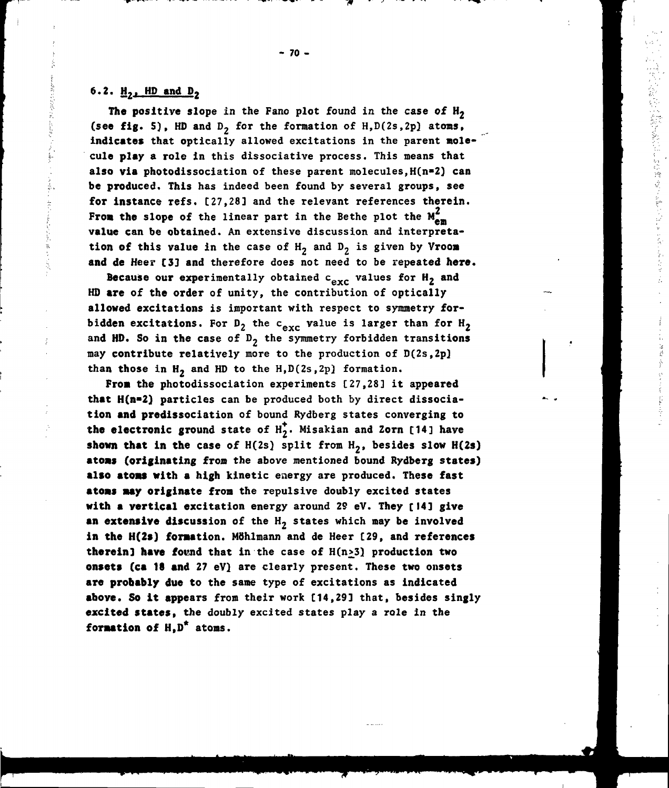## 6.2.  $H_2$ . HD and D<sub>2</sub>

The positive slope in the Fano plot found in the case of  $H_2$ (see fig. 5), HD and  $D_2$  for the formation of H, D(2s, 2p) atoms, **indicates** that optically allowed excitations in the parent molecule **play** a role in this dissociative process. This means that also via photodissociation of these parent molecules,  $H(n=2)$  can be produced. This has indeed been found by several groups, see **for** instance refs. [27,28] and the relevant references therein. From the slope of the linear part in the Bethe plot the  $M_{em}^Z$ **value** can be obtained. An extensive discussion and interpretation of this value in the case of  $H_2$  and  $D_2$  is given by Vroom and de Heer [3] and therefore does not need to be repeated here.

Because our experimentally obtained  $c_{exc}$  values for  $H_2$  and HD are of the order of unity, the contribution of optically allowed excitations is important with respect to symmetry forbidden excitations. For  $D_2$  the c<sub>exc</sub> value is larger than for  $H_2$ and HD. So in the case of  $D_2$  the symmetry forbidden transitions may contribute relatively more to the production of D(2s,2p) than those in  $H_2$  and HD to the H, D(2s, 2p) formation.

**Fron** the photodissociation experiments [27,28] it appeared **that** H(n»2) particles can be produced both by direct dissociation **and** predissociation of bound Rydberg states converging to the electronic ground state of  $H_2^*$ . Misakian and Zorn [14] have **shown that in the case of**  $H(2s)$  **split from**  $H_2$ **, besides slow**  $H(2s)$ **atoas** (originating fron the above mentioned bound Rydberg states) **also atoas** with a high kinetic energy are produced. These fast **atoas aay originate** from the repulsive doubly excited states with **a vertical** excitation energy around 29 eV. They [14] give an extensive discussion of the H<sub>2</sub> states which may be involved in the **H(2s)** f**oraat**ion. Möhlmann and de Heer [29, and references therein] have found that in the case of H(n<sub>23</sub>) production two **onsets (ca 18 and** 27 eV) are clearly present. These two onsets **are probably due** to the same type of excitations as indicated **above.** So **it** appears from their work [14,29] that, besides singly **excited states,** the doubly excited states play a role in the **foraation of** H,D\* atoms.

- 70 -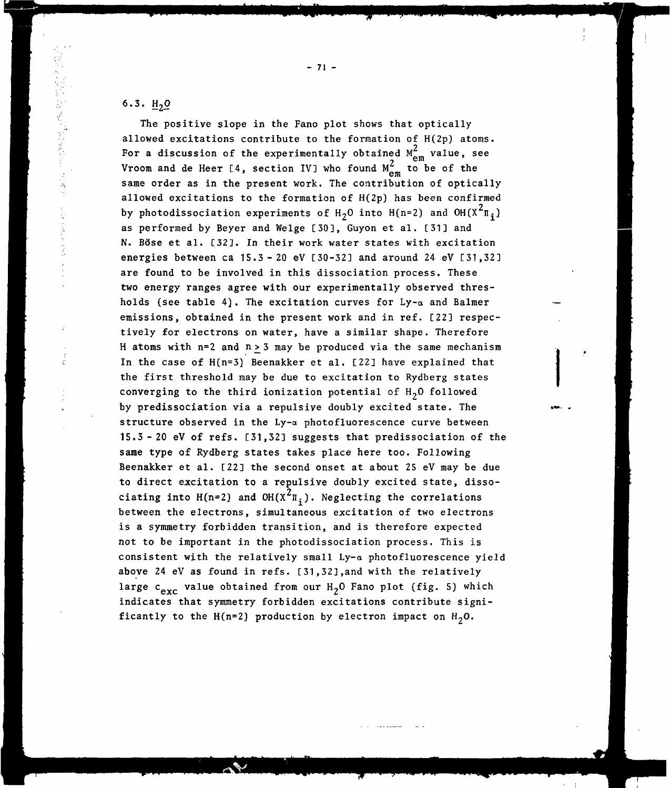## 6.3.  $H_2Q$

The positive slope in the Fano plot shows that optically allowed excitations contribute to the formation of H(2p) atoms. For a discussion of the experimentally obtained  $M_{em}^2$  value, see Vroom and de Heer [4, section IV] who found  $M_{\rm em}^2$  to be of the same order as in the present work. The contribution of optically allowed excitations to the formation of  $H(2p)$  has been confirmed by photodissociation experiments of  $H_2O$  into  $H(n=2)$  and  $OH(X^2\Pi_i)$ as performed by Beyer and Welge [30], Guyon et al. [31] and N. Böse et al. [323. In their work water states with excitation energies between ca  $15.3 - 20$  eV  $[30-32]$  and around 24 eV  $[31,32]$ are found to be involved in this dissociation process. These two energy ranges agree with our experimentally observed thresholds (see table 4). The excitation curves for  $Ly-\alpha$  and Balmer emissions, obtained in the present work and in ref. [22] respectively for electrons on water, have a similar shape. Therefore H atoms with  $n=2$  and  $n > 3$  may be produced via the same mechanism In the case of H(n=3] Beenakker et al. [22] have explained that the first threshold may be due to excitation to Rydberg states converging to the third ionization potential of  $H<sub>2</sub>0$  followed by predissociation via a repulsive doubly excited state. The structure observed in the Ly-a photofluorescence curve between 15.3-20 eV of refs. [31,32] suggests that predissociation of the same type of Rydberg states takes place here too. Following Beenakker et al. [22] the second onset at about 25 eV may be due to direct excitation to a repulsive doubly excited state, disso-2 ciating into  $H(n=Z)$  and  $OH(X^{\pi}\bar{1}_1)$ . Neglecting the correlations between the electrons, simultaneous excitation of two electrons is a symmetry forbidden transition, and is therefore expected not to be important in the photodissociation process. This is consistent with the relatively small  $Ly-\alpha$  photofluorescence yield above 24 eV as found in refs. [31,32],and with the relatively large  $c_{exc}$  value obtained from our  $H_2O$  Fano plot (fig. 5) which indicates that symmetry forbidden excitations contribute significantly to the H(n=2) production by electron impact on  $H_2O$ .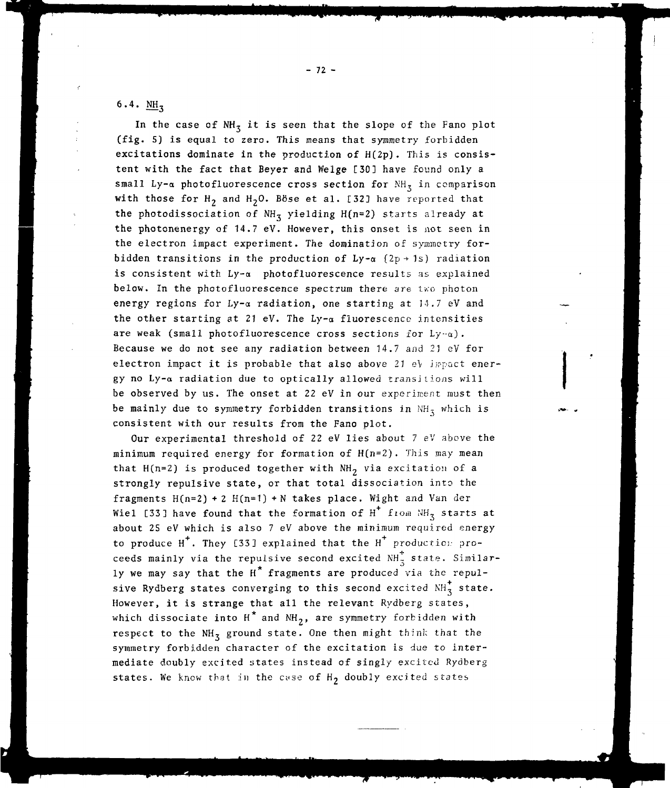## 6.4.  $M_{\rm H_3}$

In the case of  $NH_3$  it is seen that the slope of the Fano plot (fig. 5) is equal to zero. This means that symmetry forbidden excitations dominate in the production of H(2p). This is consistent with the fact that Beyer and Welge [30] have found only a small Ly- $\alpha$  photofluorescence cross section for NH<sub>z</sub> in comparison with those for  $H_2$  and  $H_2O$ . Böse et al. [32] have reported that the photodissociation of  $NH_3$  yielding  $H(n=2)$  starts already at the photonenergy of 14.7 eV. However, this onset is not seen in the electron impact experiment. The domination of symmetry forbidden transitions in the production of  $Ly-a$  (2p + 1s) radiation is consistent with  $Ly-\alpha$  photofluorescence results as explained below. In the photofluorescence spectrum there are two photon energy regions for  $Ly-\alpha$  radiation, one starting at  $14.7$  eV and the other starting at 21 eV. The Ly- $\alpha$  fluorescence intensities are weak (small photofluorescence cross sections for  $Ly-\alpha$ ). Because we do not see any radiation between 14.7 and 2J eV for electron impact it is probable that also above  $21$  eV impact energy no Ly-a radiation due to optically allowed transitions will be observed by us. The onset at 22 eV in our experiment must then be mainly due to symmetry forbidden transitions in  $NH_5$  which is consistent with our results from the Fano plot.

Our experimental threshold of 22 eV lies about 7 eV above the minimum required energy for formation of  $H(n=2)$ . This may mean that H(n=2) is produced together with  $NH<sub>2</sub>$  via excitation of a strongly repulsive state, or that total dissociation into the fragments  $H(n=2) + 2 H(n=1) + N$  takes place. Wight and Van der Wiel [33] have found that the formation of  $H^+$  from NH<sub>3</sub> starts at about 25 eV which is also 7 eV above the minimum required energy to produce  $H^+$ . They [33] explained that the  $H^+$  production proceeds mainly via the repulsive second excited  $NH_{7}^{+}$  state. Similarly we may say that the H<sup>\*</sup> fragments are produced via the repulsive Rydberg states converging to this second excited  $NH_{3}^{+}$  state. However, it is strange that all the relevant Rydberg states, which dissociate into  $H^*$  and  $NH_2$ , are symmetry forbidden with respect to the  $NH_3$  ground state. One then might think that the symmetry forbidden character of the excitation is due to intermediate doubly excited states instead of singly excited Rydberg states. We know that in the case of  $H_2$  doubly excited states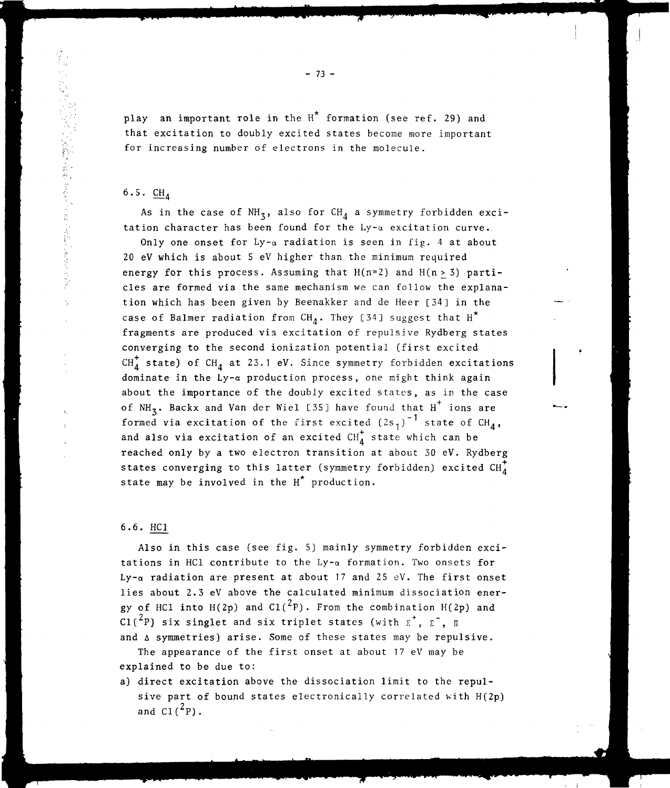play an important role in the  $H^*$  formation (see ref. 29) and that excitation to doubly excited states become more important for increasing number of electrons in the molecule.

## 6.5.  $CH<sub>A</sub>$

As in the case of  $NH_3$ , also for CH<sub>A</sub> a symmetry forbidden excitation character has been found for the  $Ly-\alpha$  excitation curve.

Only one onset for  $Ly-\alpha$  radiation is seen in fig. 4 at about 20 eV which is about 5 eV higher than the minimum required energy for this process. Assuming that  $H(n=2)$  and  $H(n>3)$  particles are formed via the same mechanism we can follow the explanation which has been given by Beenakker and de Heer [34] in the case of Balmer radiation from CH<sub>A</sub>. They [34] suggest that H<sup>\*</sup> fragments are produced via excitation of repulsive Rydberg states converging to the second ionization potential (first excited  $CH_{A}^{+}$  state) of  $CH_{A}$  at 23.1 eV. Since symmetry forbidden excitations dominate in the  $Ly-\alpha$  production process, one might think again about the importance of the doubly excited states, as in the case of NH<sub>z</sub>. Backx and Van der Wiel [35] have found that H<sup>+</sup> ions are formed via excitation of the first excited  $(2s<sub>1</sub>)<sup>-1</sup>$  state of  $CH<sub>4</sub>$ , and also via excitation of an excited  $CH_4^+$  state which can be reached only by a two electron transition at about 30 eV. Rydberg states converging to this latter (symmetry forbidden) excited  $CH_A^+$ state may be involved in the  $H^*$  production.

## 6.6. HC1

Also in this case (see fig. 5) mainly symmetry forbidden excitations in HC1 contribute to the  $Ly-\alpha$  formation. Two onsets for Ly- $\alpha$  radiation are present at about 17 and 25 eV. The first onset lies about 2.3 eV above the calculated minimum dissociation energy of HC1 into H(2p) and C1( $^{2}$ P). From the combination H(2p) and Cl(<sup>2</sup>P) six singlet and six triplet states (with  $\vec{r}$ ,  $\vec{r}$ ,  $\vec{u}$ and  $\Delta$  symmetries) arise. Some of these states may be repulsive.

The appearance of the first onset at about 17 eV may be explained to be due to:

a) direct excitation above the dissociation limit to the repulsive part of bound states electronically correlated with H(2p) and  $CI(^{2}P)$ .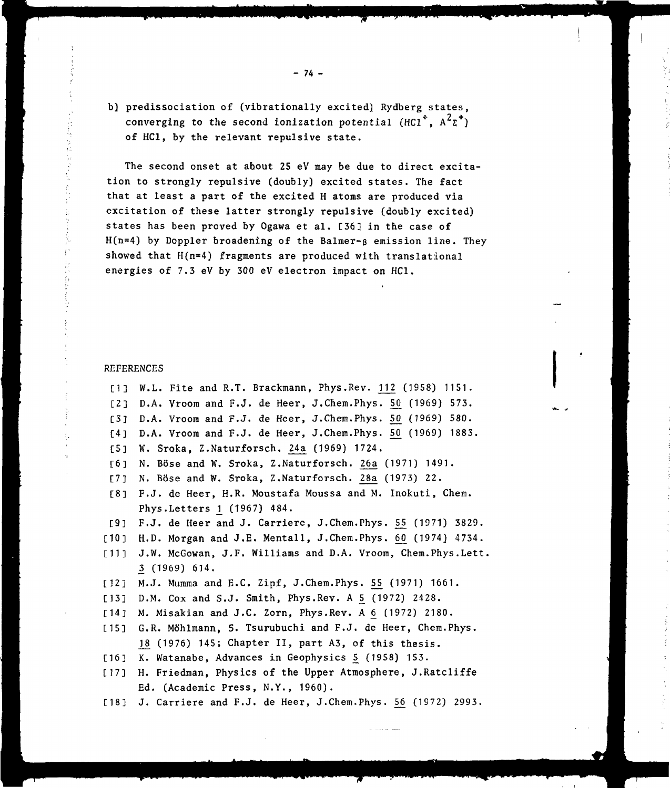b) predissociation of (vibrationally excited) Rydberg states, converging to the second ionization potential (HC1<sup>\*</sup>,  $A^2\Sigma^+$ ) of HC1, by the relevant repulsive state.

The second onset at about 25 eV may be due to direct excitation to strongly repulsive (doubly) excited states. The fact that at least a part of the excited H atoms are produced via excitation of these latter strongly repulsive (doubly excited) states has been proved by Ogawa et al. [36] in the case of  $H(n=4)$  by Doppler broadening of the Balmer- $\beta$  emission line. They showed that H(n=4) fragments are produced with translational energies of 7.3 eV by 300 eV electron impact on HC1.

#### REFERENCES

[1] W.L. Fite and R.T. Brackmann, Phys. Rev. 112 (1958) 1151. [2] D.A. Vroom and F.J. de Heer, J.Chem.Phys. 50 (1969) 573. [3]  $D.A.$  Vroom and  $F.J.$  de Heer, J.Chem.Phys.  $50$  (1969) 580. [4] D.A. Vroom and F.J. de Heer, J.Chem.Phys. 50 (1969) 1883. [5] W. Sroka, Z.Naturforsch. 24a (1969) 1724. [6] N. Böse and W. Sroka, Z.Naturforsch. 26a (1971) 1491. [7] N. Böse and W. Sroka, Z.Naturforsch. 28a (1973) 22. [8] F.J. de Heer, H.R. Moustafa Moussa and M. Inokuti, Chem. Phys.Letters 1 (1967) 484. [9] F.J. de Heer and J. Carriere, J.Chem.Phys. 55 (1971) 3829. [10] H.D. Morgan and J.E. Mentall, J.Chem.Phys. 60 (1974) 4734. [11] J.W. McGowan, J.F. Williams and D.A. Vroom, Chem.Phys.Lett. 3 (1969) 614. [12] M.J. Mumma and E.C. Zipf, J.Chem.Phys. 55 (1971) 1661. [13] D.M. Cox and S.J. Smith, Phys.Rev. A 5 (1972) 2428. [14] M. Misakian and J.C. Zorn, Phys.Rev. A 6 (1972) 2180. [15] G.R. Möhlmann, S. Tsurubuchi and F.J. de Heer, Chem.Phys. 18 (1976) 145; Chapter II, part A3, of this thesis. [16] K. Watanabe, Advances in Geophysics 5 (1958) 153. [17] H. Friedman, Physics of the Upper Atmosphere, J.Ratcliffe Ed. (Academic Press, N.Y., 1960).  $[18]$  J. Carriere and F.J. de Heer, J.Chem.Phys. 56 (1972) 2993.